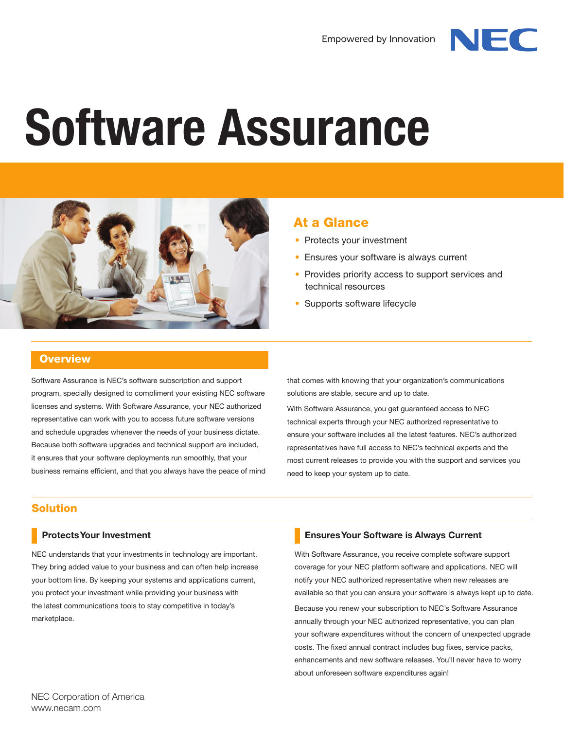

# **Software Assurance**



# At a Glance

- Protects your investment
- Ensures your software is always current
- Provides priority access to support services and technical resources
- Supports software lifecycle

## **Overview**

Software Assurance is NEC's software subscription and support program, specially designed to compliment your existing NEC software licenses and systems. With Software Assurance, your NEC authorized representative can work with you to access future software versions and schedule upgrades whenever the needs of your business dictate. Because both software upgrades and technical support are included, it ensures that your software deployments run smoothly, that your business remains efficient, and that you always have the peace of mind that comes with knowing that your organization's communications solutions are stable, secure and up to date.

With Software Assurance, you get guaranteed access to NEC technical experts through your NEC authorized representative to ensure your software includes all the latest features. NEC's authorized representatives have full access to NEC's technical experts and the most current releases to provide you with the support and services you need to keep your system up to date.

## Solution

## **Protects Your Investment**

NEC understands that your investments in technology are important. They bring added value to your business and can often help increase your bottom line. By keeping your systems and applications current, you protect your investment while providing your business with the latest communications tools to stay competitive in today's marketplace.

## **Ensures Your Software is Always Current**

With Software Assurance, you receive complete software support coverage for your NEC platform software and applications. NEC will notify your NEC authorized representative when new releases are available so that you can ensure your software is always kept up to date. Because you renew your subscription to NEC's Software Assurance annually through your NEC authorized representative, you can plan your software expenditures without the concern of unexpected upgrade costs. The fixed annual contract includes bug fixes, service packs, enhancements and new software releases. You'll never have to worry about unforeseen software expenditures again!